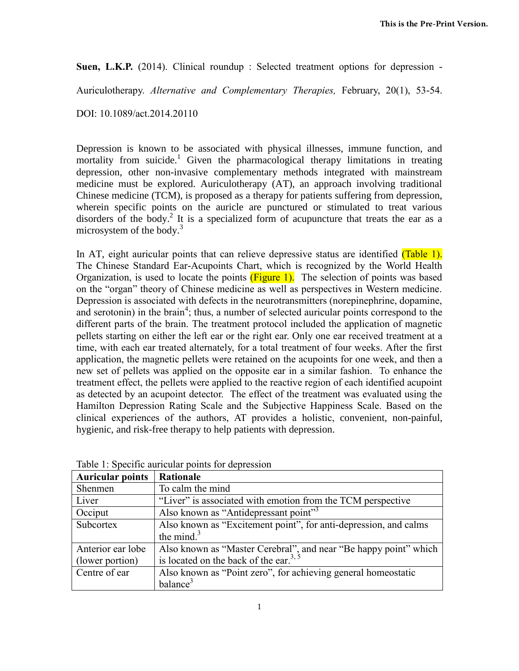**Suen, L.K.P.** (2014). Clinical roundup : Selected treatment options for depression -

Auriculotherapy. *Alternative and Complementary Therapies,* February, 20(1), 53-54.

DOI: 10.1089/act.2014.20110

Depression is known to be associated with physical illnesses, immune function, and mortality from suicide.<sup>1</sup> Given the pharmacological therapy limitations in treating depression, other non-invasive complementary methods integrated with mainstream medicine must be explored. Auriculotherapy (AT), an approach involving traditional Chinese medicine (TCM), is proposed as a therapy for patients suffering from depression, wherein specific points on the auricle are punctured or stimulated to treat various disorders of the body.<sup>2</sup> It is a specialized form of acupuncture that treats the ear as a microsystem of the body. $3$ 

In AT, eight auricular points that can relieve depressive status are identified (Table 1). The Chinese Standard Ear-Acupoints Chart, which is recognized by the World Health Organization, is used to locate the points  $(Figure 1)$ . The selection of points was based on the "organ" theory of Chinese medicine as well as perspectives in Western medicine. Depression is associated with defects in the neurotransmitters (norepinephrine, dopamine, and serotonin) in the brain<sup>4</sup>; thus, a number of selected auricular points correspond to the different parts of the brain. The treatment protocol included the application of magnetic pellets starting on either the left ear or the right ear. Only one ear received treatment at a time, with each ear treated alternately, for a total treatment of four weeks. After the first application, the magnetic pellets were retained on the acupoints for one week, and then a new set of pellets was applied on the opposite ear in a similar fashion. To enhance the treatment effect, the pellets were applied to the reactive region of each identified acupoint as detected by an acupoint detector. The effect of the treatment was evaluated using the Hamilton Depression Rating Scale and the Subjective Happiness Scale. Based on the clinical experiences of the authors, AT provides a holistic, convenient, non-painful, hygienic, and risk-free therapy to help patients with depression.

| <b>Auricular points</b> | Rationale                                                        |
|-------------------------|------------------------------------------------------------------|
| Shenmen                 | To calm the mind                                                 |
| Liver                   | "Liver" is associated with emotion from the TCM perspective      |
| Occiput                 | Also known as "Antidepressant point" <sup>3</sup>                |
| Subcortex               | Also known as "Excitement point", for anti-depression, and calms |
|                         | the mind. $3$                                                    |
| Anterior ear lobe       | Also known as "Master Cerebral", and near "Be happy point" which |
| (lower portion)         | is located on the back of the ear. <sup>3, 5</sup>               |
| Centre of ear           | Also known as "Point zero", for achieving general homeostatic    |
|                         | balance <sup>3</sup>                                             |

Table 1: Specific auricular points for depression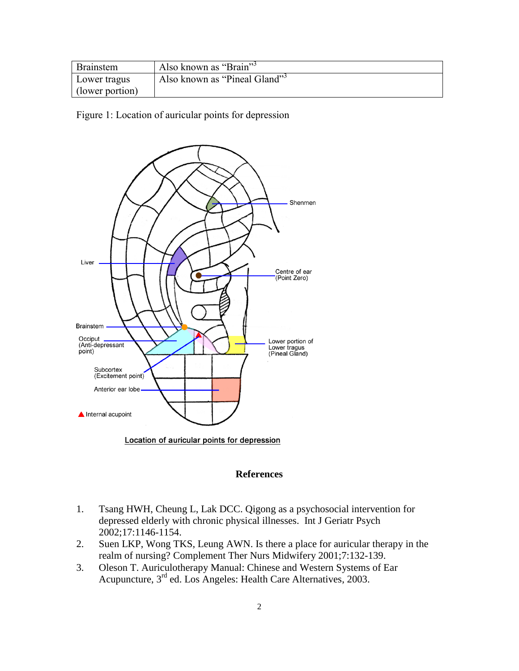| <b>Brainstem</b> | Also known as "Brain"         |
|------------------|-------------------------------|
| Lower tragus     | "Also known as "Pineal Gland" |
| (lower portion)  |                               |

Figure 1: Location of auricular points for depression



## **References**

- 1. Tsang HWH, Cheung L, Lak DCC. Qigong as a psychosocial intervention for depressed elderly with chronic physical illnesses. Int J Geriatr Psych 2002;17:1146-1154.
- 2. Suen LKP, Wong TKS, Leung AWN. Is there a place for auricular therapy in the realm of nursing? Complement Ther Nurs Midwifery 2001;7:132-139.
- 3. Oleson T. Auriculotherapy Manual: Chinese and Western Systems of Ear Acupuncture, 3 rd ed. Los Angeles: Health Care Alternatives, 2003.